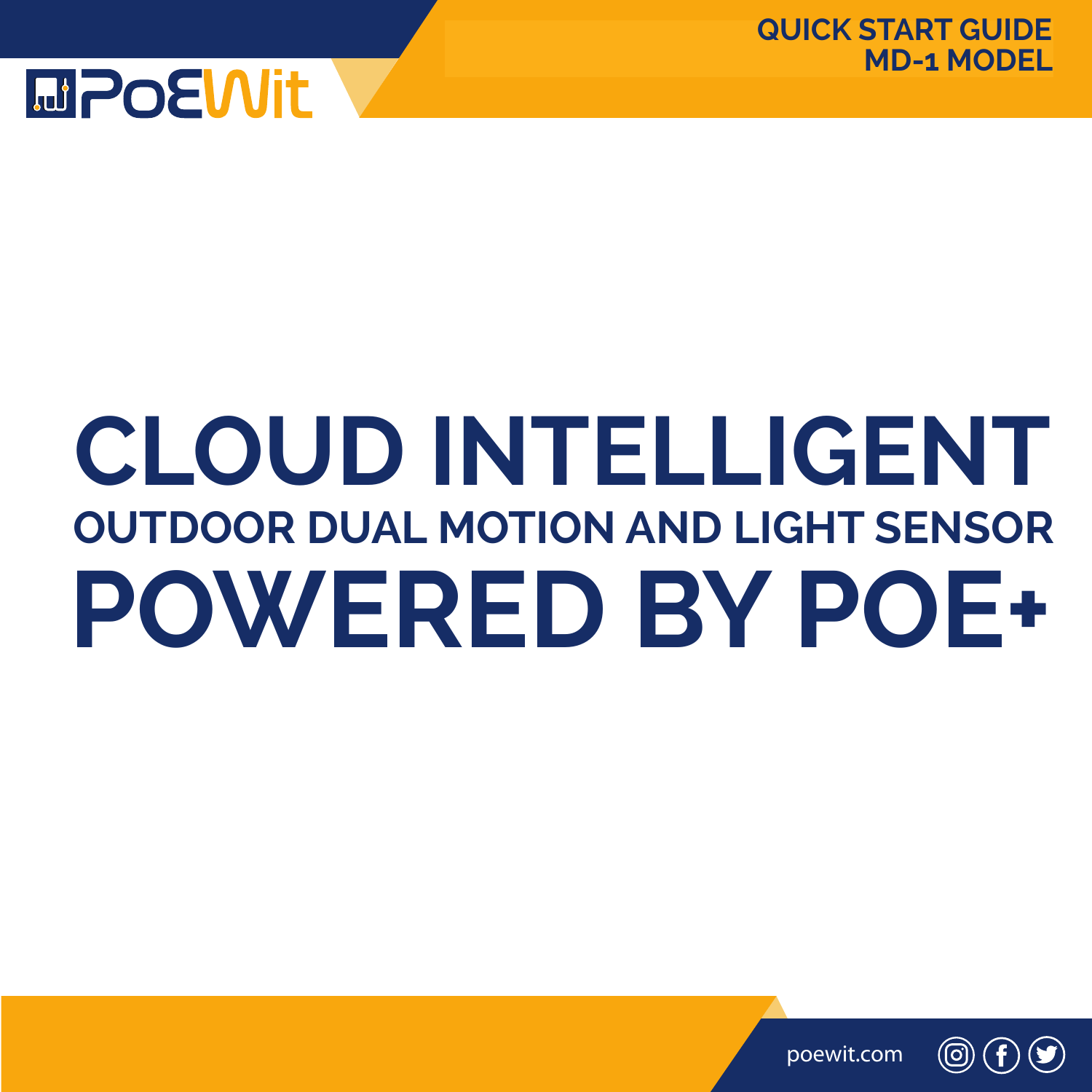

# **CLOUD INTELLIGENT OUTDOOR DUAL MOTION AND LIGHT SENSOR POWERED BY POE+**



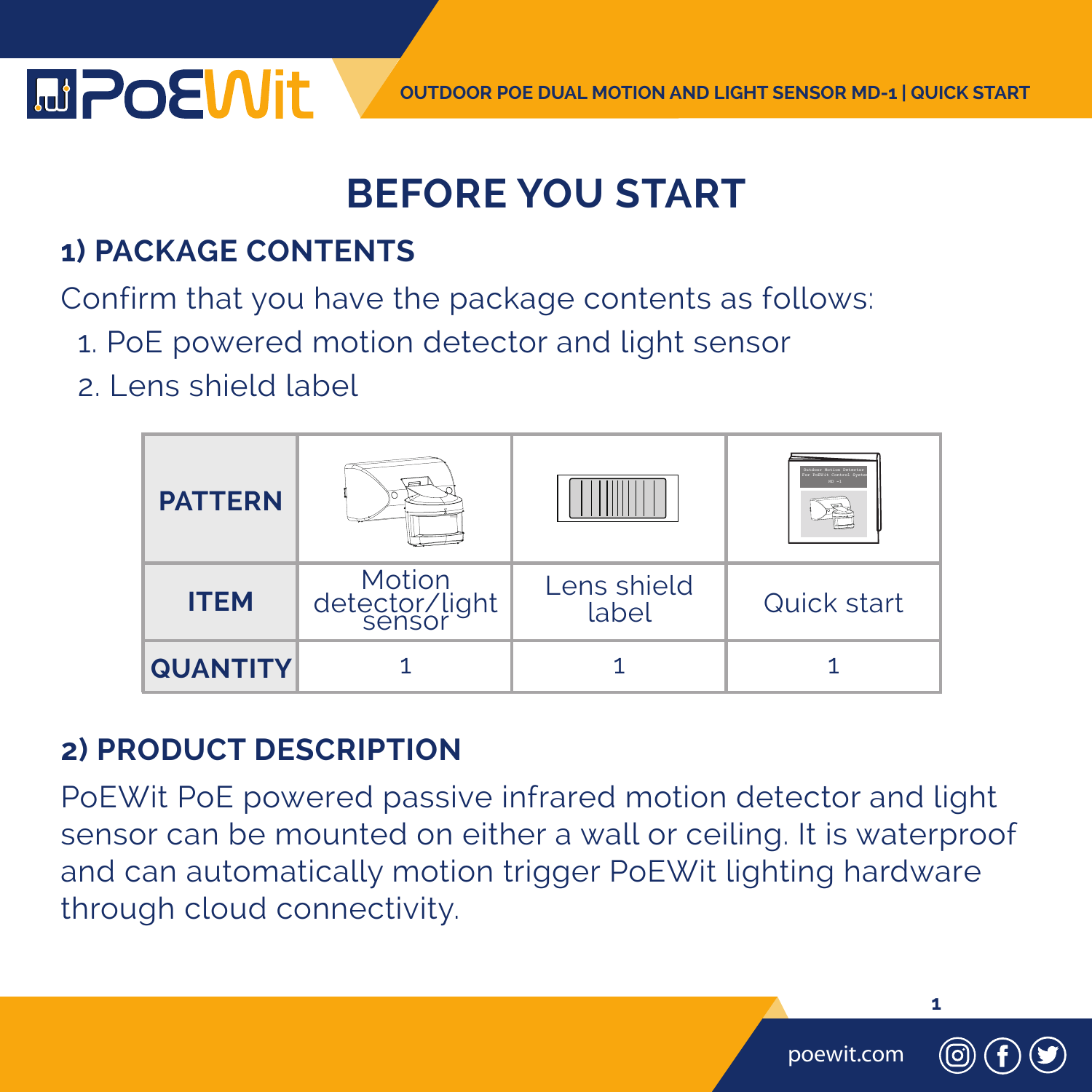

### **BEFORE YOU START**

#### **1) PACKAGE CONTENTS**

Confirm that you have the package contents as follows:

- 1. PoE powered motion detector and light sensor
- 2. Lens shield label



#### **2) PRODUCT DESCRIPTION**

PoEWit PoE powered passive infrared motion detector and light sensor can be mounted on either a wall or ceiling. It is waterproof and can automatically motion trigger PoEWit lighting hardware through cloud connectivity.

poewit.com

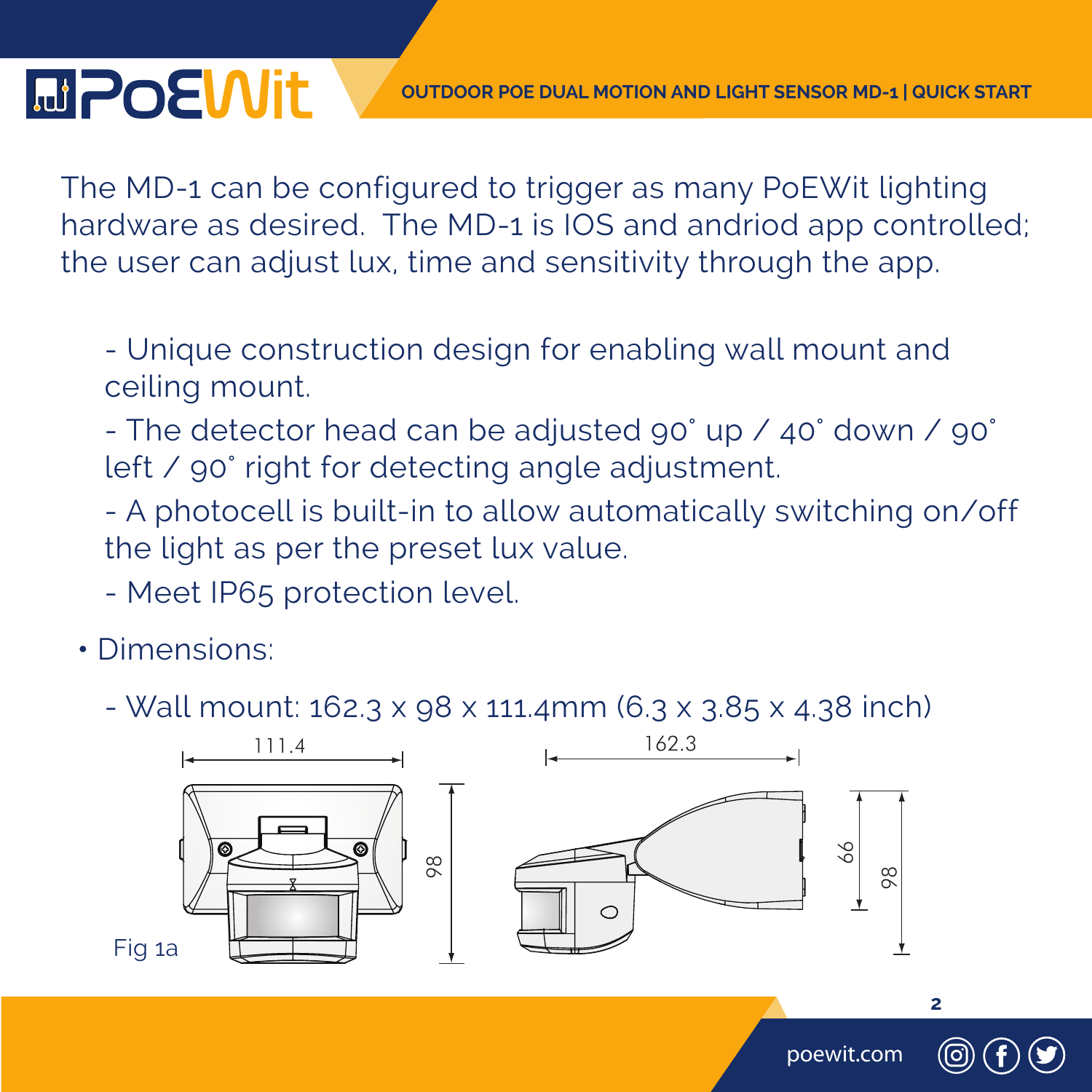#### **OUTDOOR POE DUAL MOTION AND LIGHT SENSOR MD-1 | QUICK START**

The MD-1 can be configured to trigger as many PoEWit lighting hardware as desired. The MD-1 is IOS and andriod app controlled; the user can adjust lux, time and sensitivity through the app.

 - Unique construction design for enabling wall mount and ceiling mount.

- The detector head can be adjusted 90° up / 40° down / 90° left / 90° right for detecting angle adjustment.

- A photocell is built-in to allow automatically switching on/off the light as per the preset lux value.
- Meet IP65 protection level.
- Dimensions:

**MPoEWit** 

- Wall mount:  $162.3 \times 98 \times 111.4$ mm  $(6.3 \times 3.85 \times 4.38$  inch)



poewit.com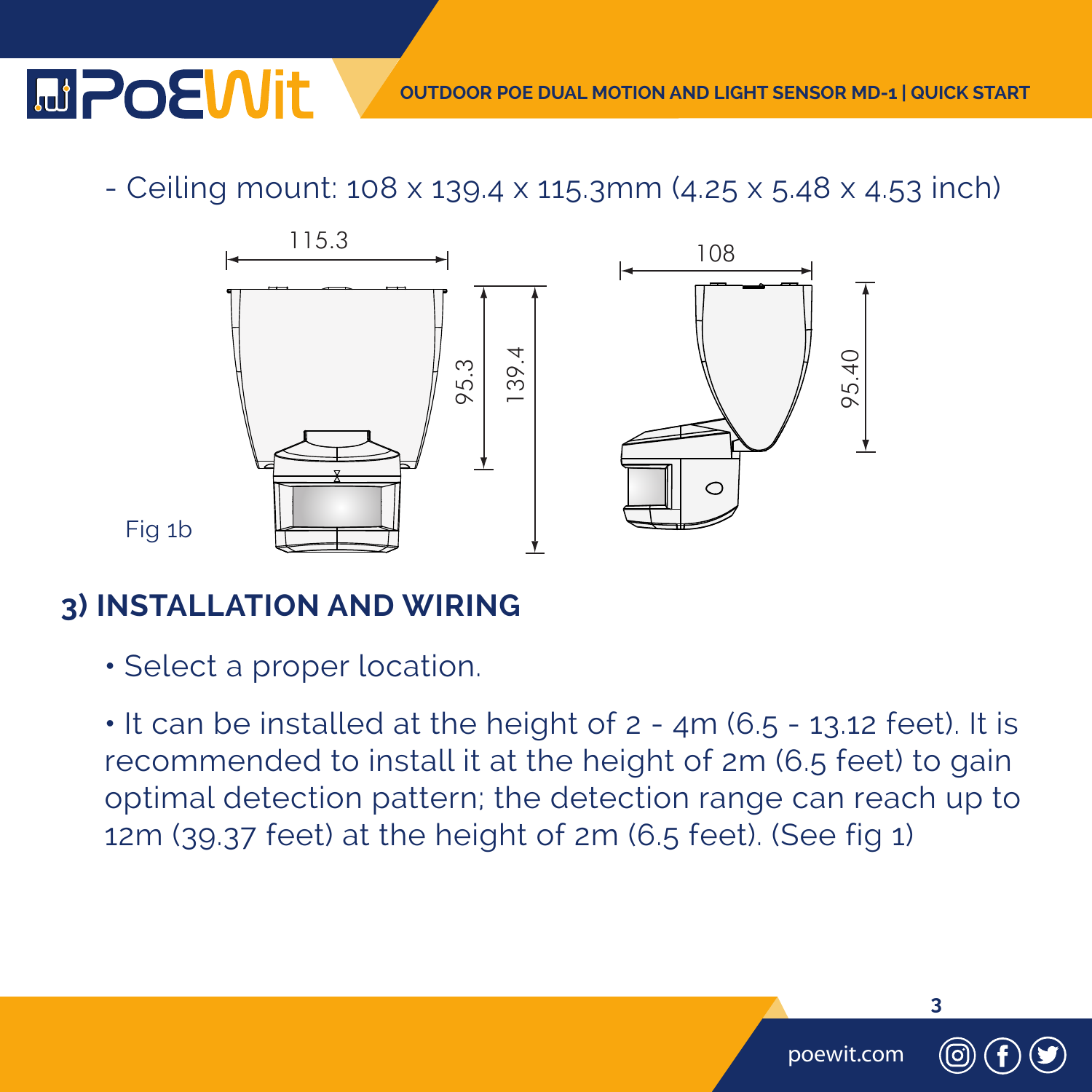#### **OUTDOOR POE DUAL MOTION AND LIGHT SENSOR MD-1 | QUICK START**

poewit.com

**3**

- Ceiling mount: 108 x 139.4 x 115.3mm (4.25 x 5.48 x 4.53 inch) Ceiling mount: 108 x 139.4 x 115.3mm



**3) INSTALLATION AND WIRING**

**MPoEWit** 

**•** Select a proper location.

 **•** It can be installed at the height of 2 - 4m (6.5 - 13.12 feet). It is recommended to install it at the height of 2m (6.5 feet) to gain optimal detection pattern; the detection range can reach up to 12m (39.37 feet) at the height of 2m (6.5 feet). (See fig 1)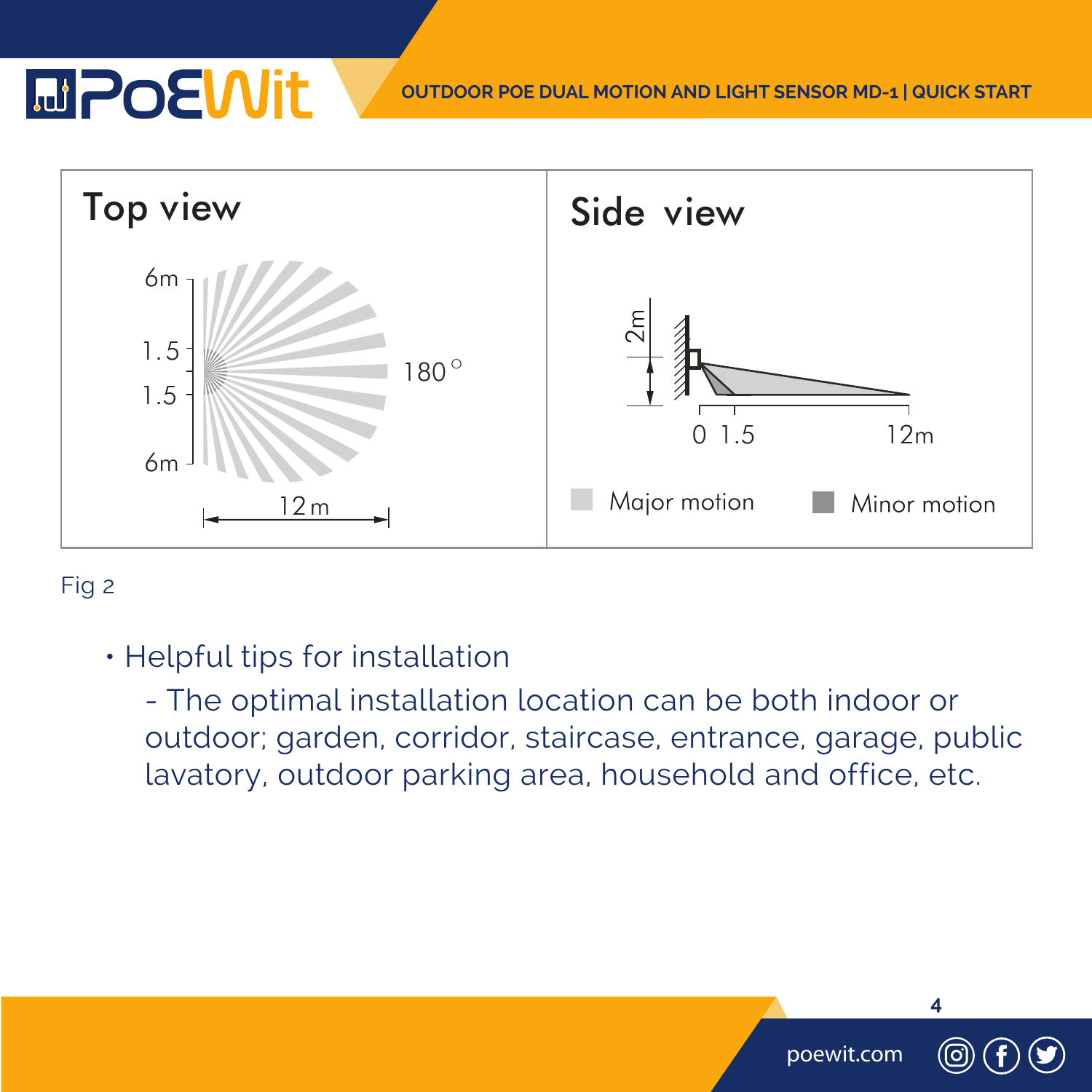## **MPOEWIt**

**OUTDOOR POE DUAL MOTION AND LIGHT SENSOR MD-1 | QUICK START**

poewit.com

**4**



#### Fig 2

• Helpful tips for installation

 - The optimal installation location can be both indoor or outdoor; garden, corridor, staircase, entrance, garage, public lavatory, outdoor parking area, household and office, etc.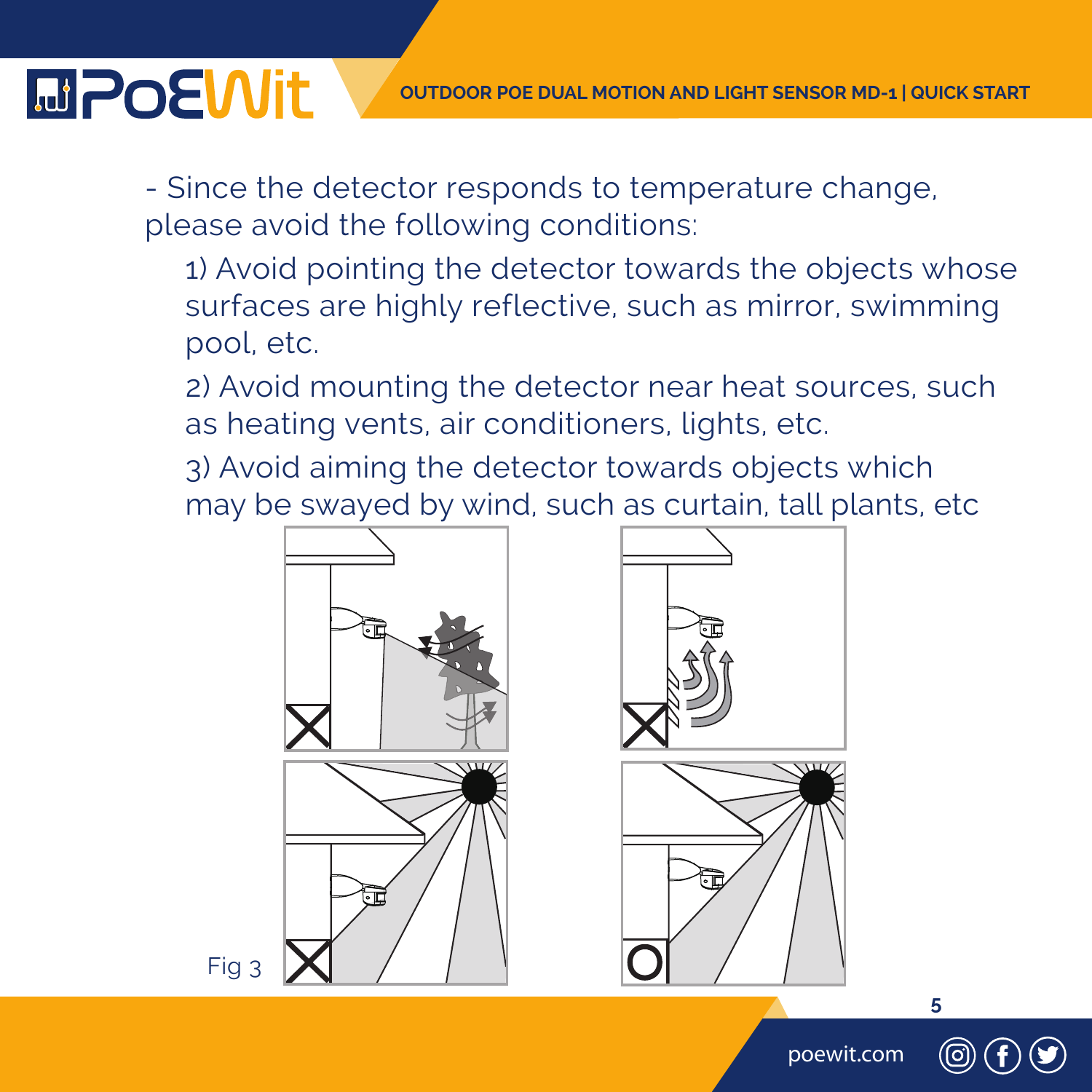- Since the detector responds to temperature change, please avoid the following conditions:

 1) Avoid pointing the detector towards the objects whose surfaces are highly reflective, such as mirror, swimming pool, etc.

 2) Avoid mounting the detector near heat sources, such as heating vents, air conditioners, lights, etc.

 3) Avoid aiming the detector towards objects which may be swayed by wind, such as curtain, tall plants, etc





Fig 3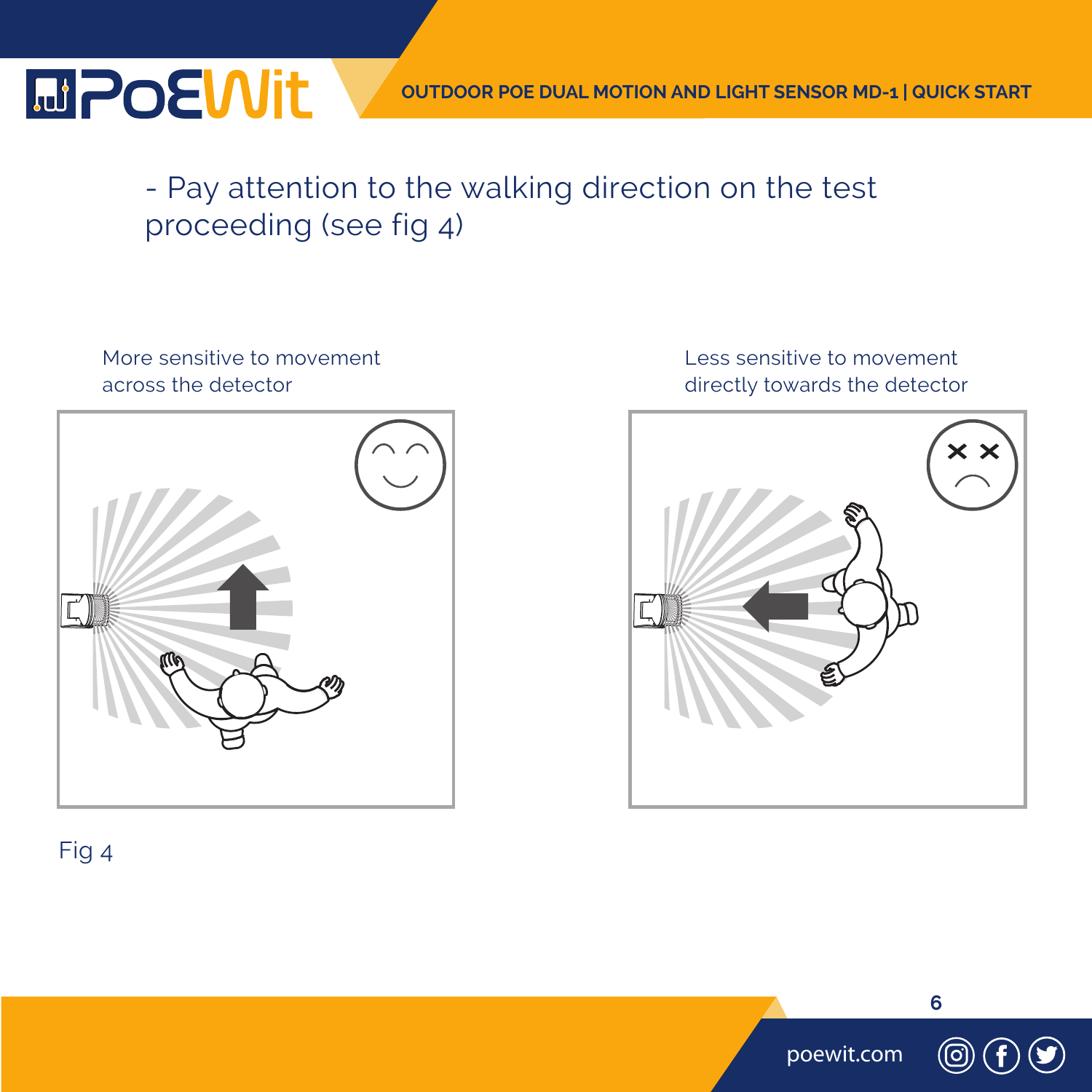### **MPOEWit**

#### - Pay attention to the walking direction on the test proceeding (see fig 4)

#### More sensitive to movement across the detector



#### Less sensitive to movement directly towards the detector



#### Fig 4

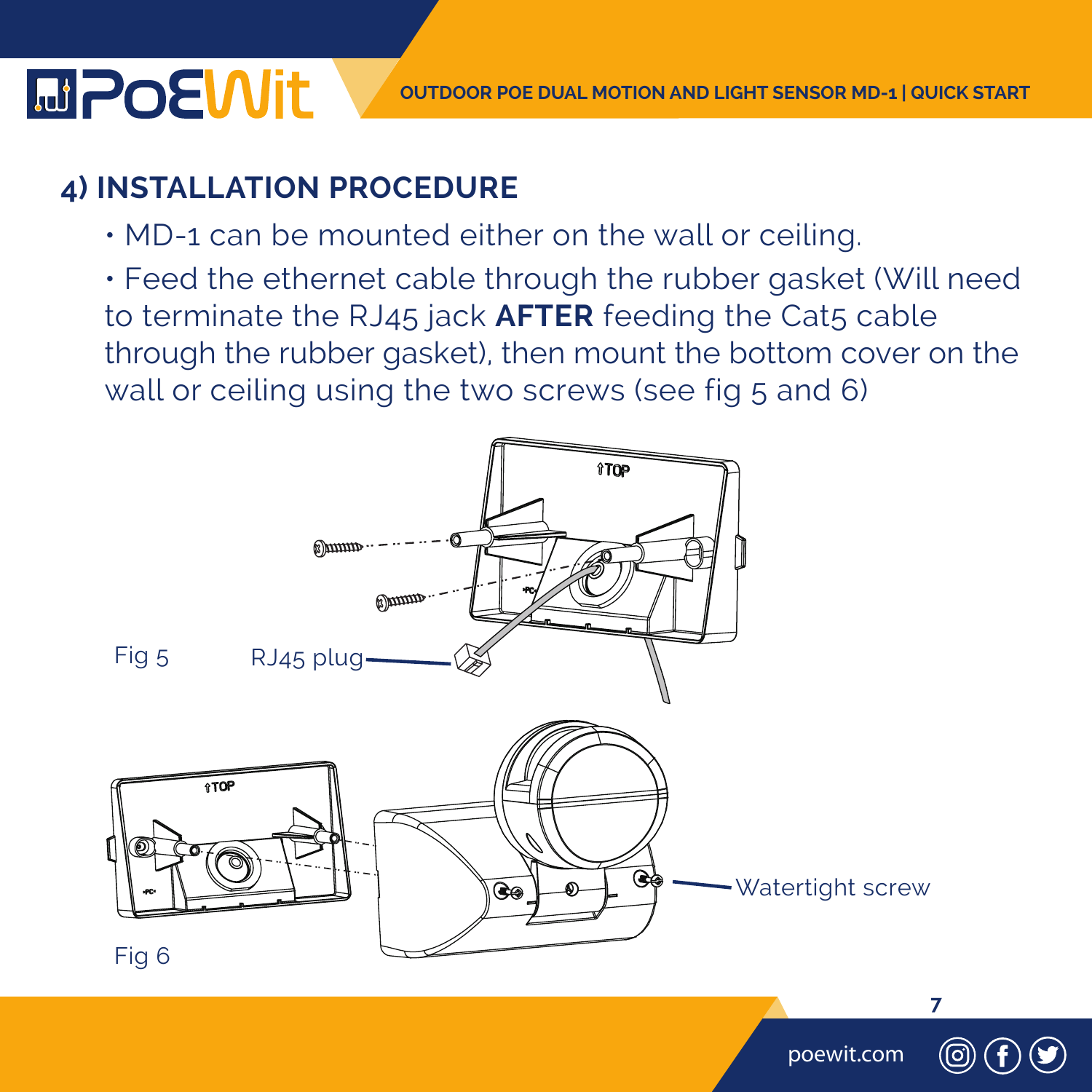#### **4) INSTALLATION PROCEDURE**

- MD-1 can be mounted either on the wall or ceiling.
- Feed the ethernet cable through the rubber gasket (Will need to terminate the RJ45 jack **AFTER** feeding the Cat5 cable through the rubber gasket), then mount the bottom cover on the wall or ceiling using the two screws (see fig 5 and 6)

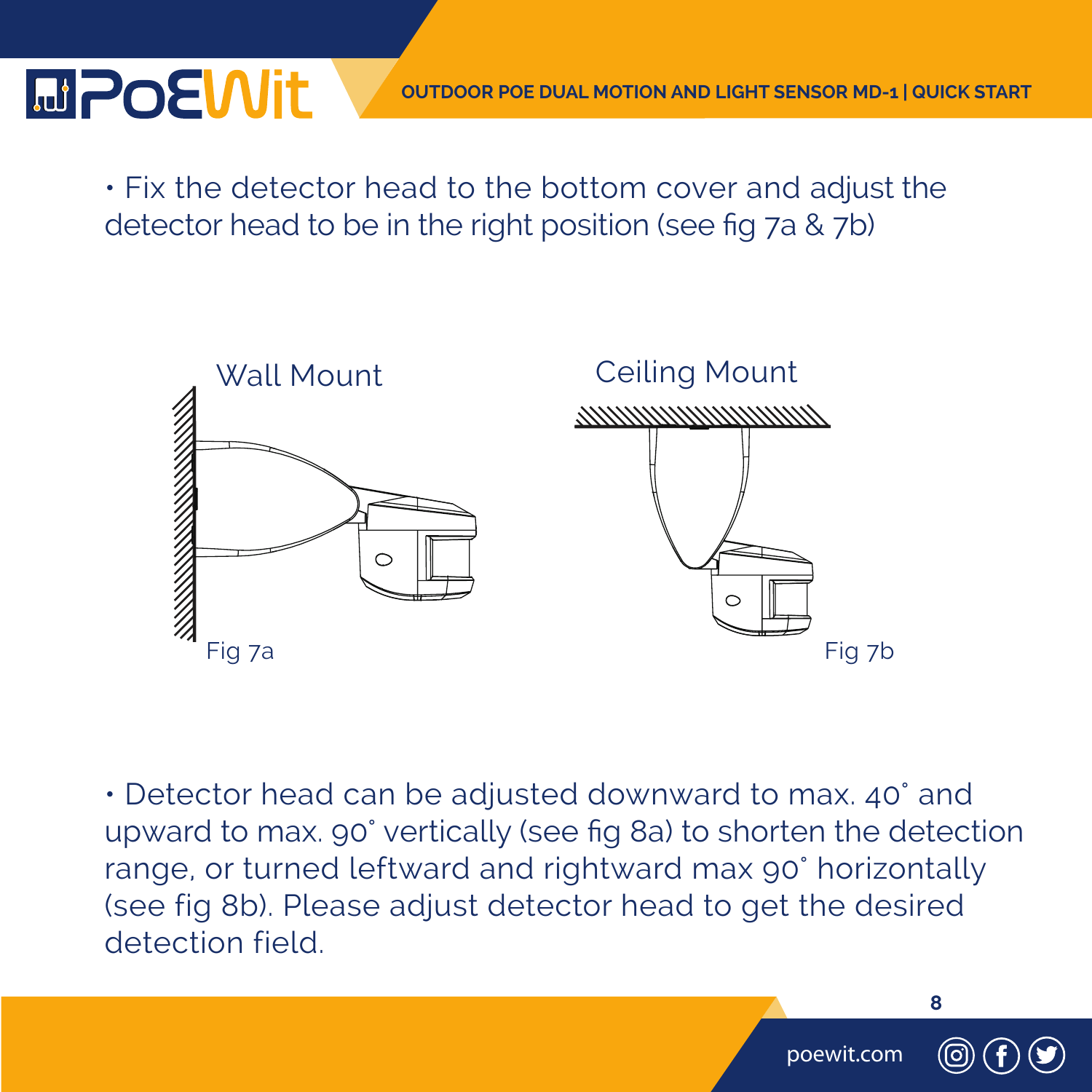## **MPOEWIt**

 • Fix the detector head to the bottom cover and adjust the detector head to be in the right position (see fig 7a & 7b)



 • Detector head can be adjusted downward to max. 40° and upward to max. 90° vertically (see fig 8a) to shorten the detection range, or turned leftward and rightward max 90° horizontally (see fig 8b). Please adjust detector head to get the desired detection field.

poewit.com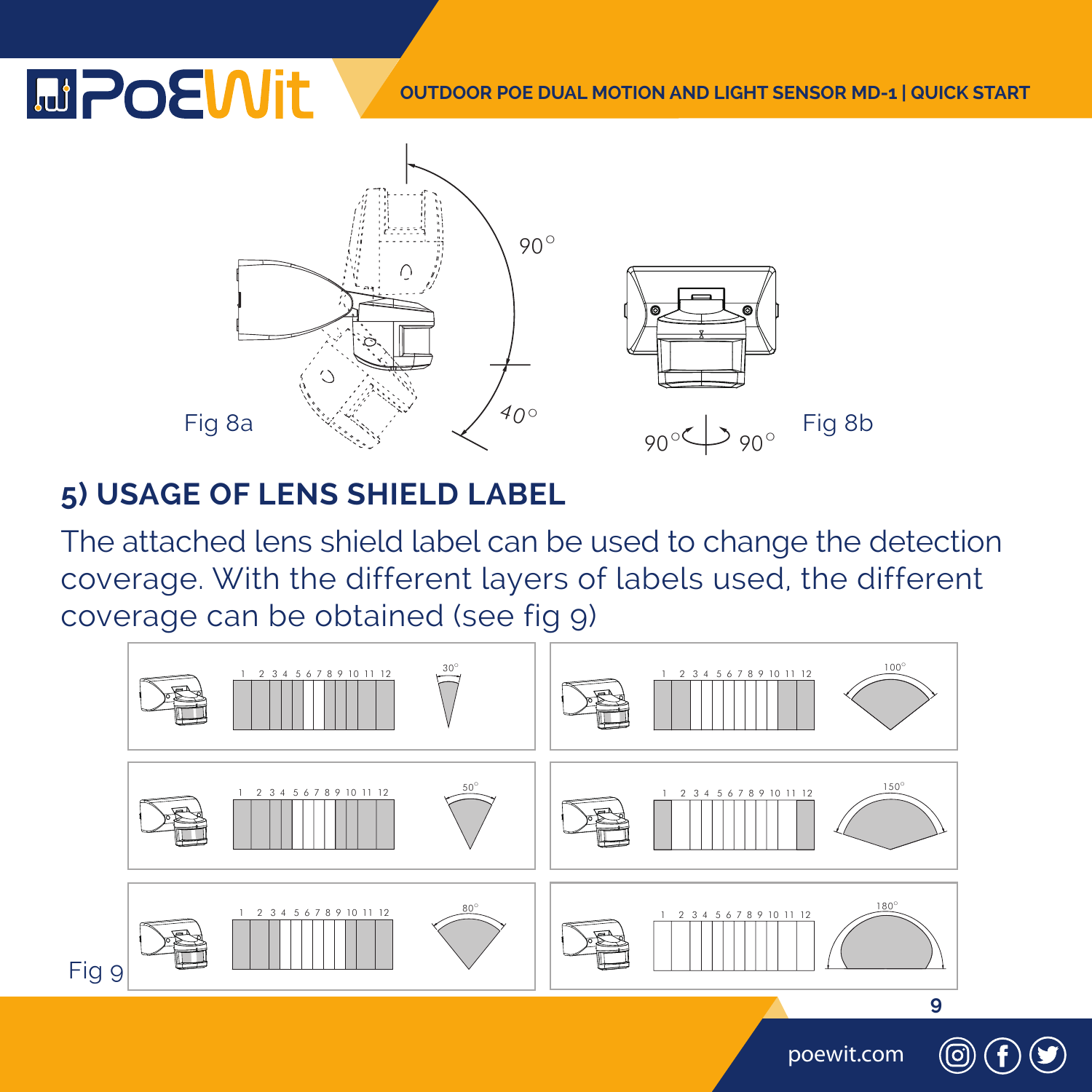#### **OUTDOOR POE DUAL MOTION AND LIGHT SENSOR MD-1 | QUICK START**



#### **5) USAGE OF LENS SHIELD LABEL**

The attached lens shield label can be used to change the detection coverage. With the different layers of labels used, the different coverage can be obtained (see fig 9)

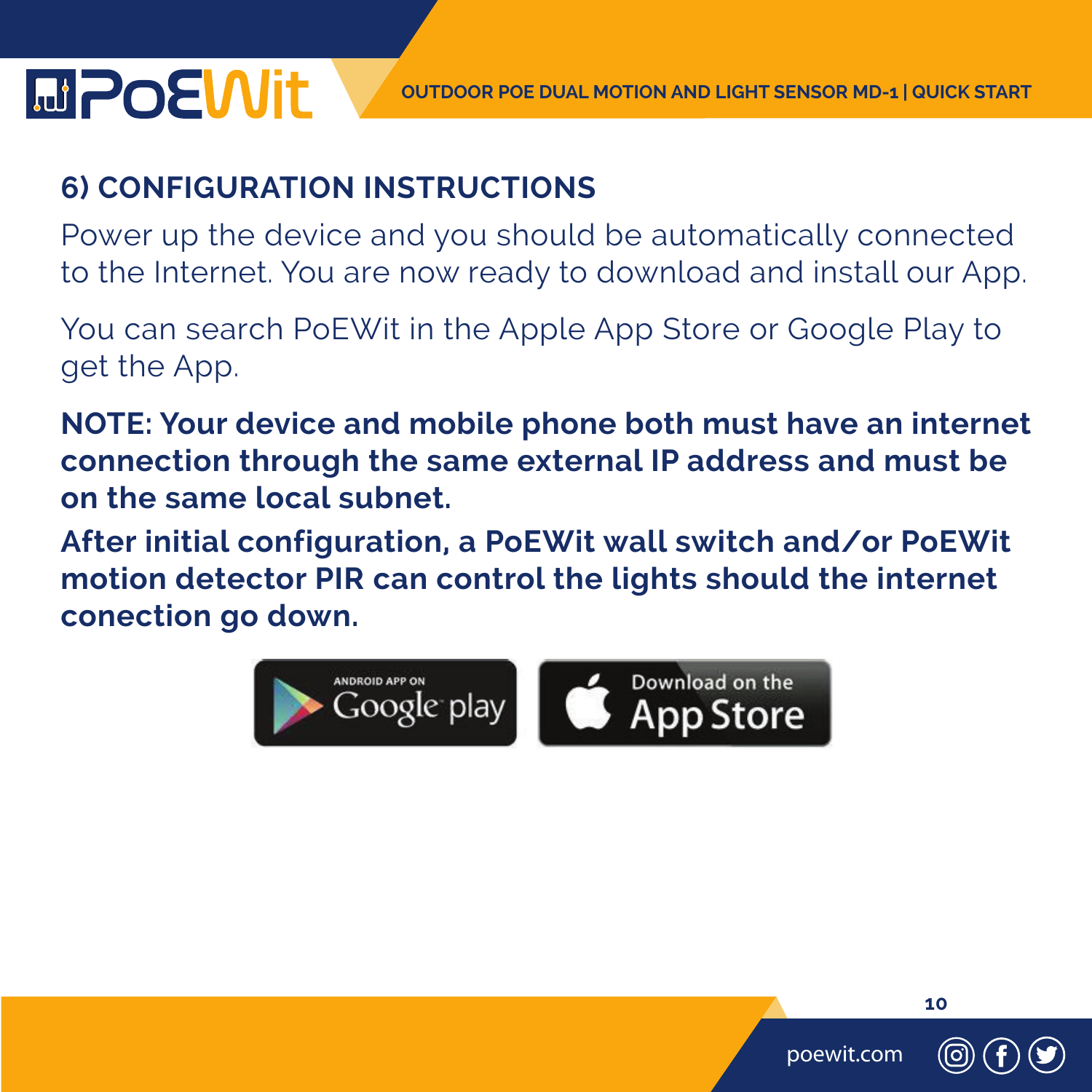#### **6) CONFIGURATION INSTRUCTIONS**

Power up the device and you should be automatically connected to the Internet. You are now ready to download and install our App.

You can search PoEWit in the Apple App Store or Google Play to get the App.

**NOTE: Your device and mobile phone both must have an internet connection through the same external IP address and must be on the same local subnet.**

**After initial configuration, a PoEWit wall switch and/or PoEWit motion detector PIR can control the lights should the internet conection go down.** 





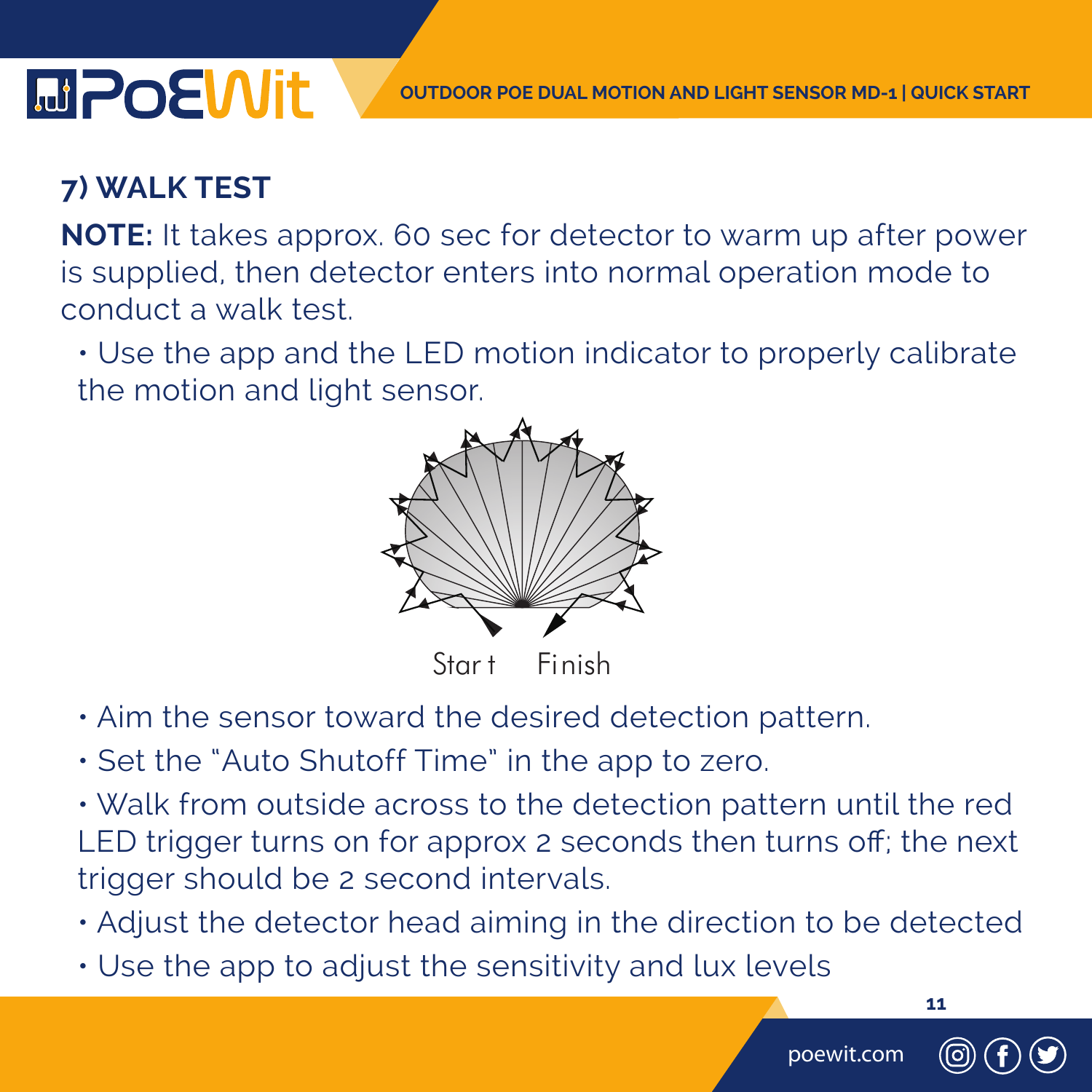#### **7) WALK TEST**

**MPoEWit** 

**NOTE:** It takes approx. 60 sec for detector to warm up after power is supplied, then detector enters into normal operation mode to conduct a walk test.

• Use the app and the LED motion indicator to properly calibrate the motion and light sensor.



Start Finish

- Aim the sensor toward the desired detection pattern.
- Set the "Auto Shutoff Time" in the app to zero.
- Walk from outside across to the detection pattern until the red LED trigger turns on for approx 2 seconds then turns off; the next trigger should be 2 second intervals.
- Adjust the detector head aiming in the direction to be detected
- Use the app to adjust the sensitivity and lux levels

poewit.com